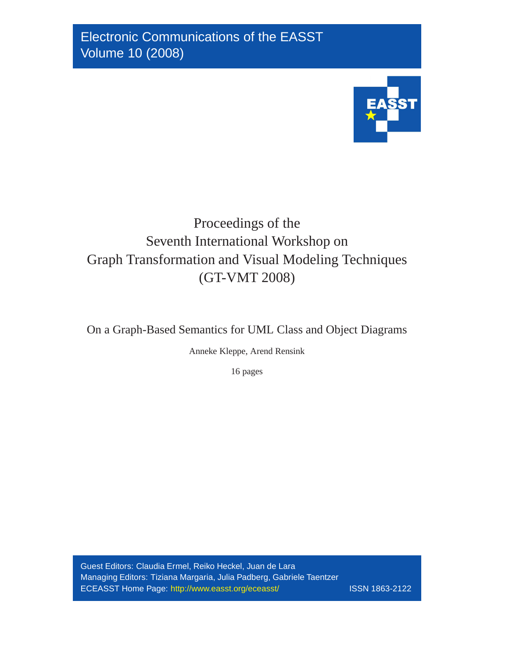

# Proceedings of the Seventh International Workshop on Graph Transformation and Visual Modeling Techniques (GT-VMT 2008)

On a Graph-Based Semantics for UML Class and Object Diagrams

Anneke Kleppe, Arend Rensink

16 pages

Guest Editors: Claudia Ermel, Reiko Heckel, Juan de Lara Managing Editors: Tiziana Margaria, Julia Padberg, Gabriele Taentzer ECEASST Home Page: <http://www.easst.org/eceasst/> ISSN 1863-2122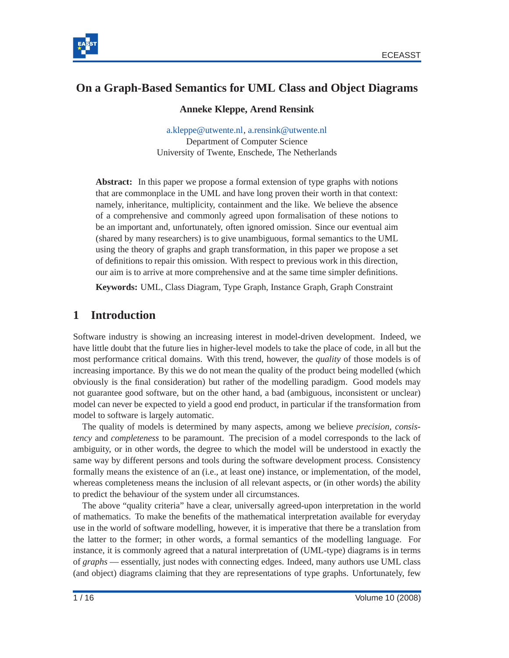



# **On a Graph-Based Semantics for UML Class and Object Diagrams**

#### **Anneke Kleppe, Arend Rensink**

[a.kleppe@utwente.nl,](mailto:a.kleppe@utwente.nl) [a.rensink@utwente.nl](mailto:a.rensink@utwente.nl) Department of Computer Science University of Twente, Enschede, The Netherlands

**Abstract:** In this paper we propose a formal extension of type graphs with notions that are commonplace in the UML and have long proven their worth in that context: namely, inheritance, multiplicity, containment and the like. We believe the absence of a comprehensive and commonly agreed upon formalisation of these notions to be an important and, unfortunately, often ignored omission. Since our eventual aim (shared by many researchers) is to give unambiguous, formal semantics to the UML using the theory of graphs and graph transformation, in this paper we propose a set of definitions to repair this omission. With respect to previous work in this direction, our aim is to arrive at more comprehensive and at the same time simpler definitions.

**Keywords:** UML, Class Diagram, Type Graph, Instance Graph, Graph Constraint

# **1 Introduction**

Software industry is showing an increasing interest in model-driven development. Indeed, we have little doubt that the future lies in higher-level models to take the place of code, in all but the most performance critical domains. With this trend, however, the *quality* of those models is of increasing importance. By this we do not mean the quality of the product being modelled (which obviously is the final consideration) but rather of the modelling paradigm. Good models may not guarantee good software, but on the other hand, a bad (ambiguous, inconsistent or unclear) model can never be expected to yield a good end product, in particular if the transformation from model to software is largely automatic.

The quality of models is determined by many aspects, among we believe *precision*, *consistency* and *completeness* to be paramount. The precision of a model corresponds to the lack of ambiguity, or in other words, the degree to which the model will be understood in exactly the same way by different persons and tools during the software development process. Consistency formally means the existence of an (i.e., at least one) instance, or implementation, of the model, whereas completeness means the inclusion of all relevant aspects, or (in other words) the ability to predict the behaviour of the system under all circumstances.

The above "quality criteria" have a clear, universally agreed-upon interpretation in the world of mathematics. To make the benefits of the mathematical interpretation available for everyday use in the world of software modelling, however, it is imperative that there be a translation from the latter to the former; in other words, a formal semantics of the modelling language. For instance, it is commonly agreed that a natural interpretation of (UML-type) diagrams is in terms of *graphs* — essentially, just nodes with connecting edges. Indeed, many authors use UML class (and object) diagrams claiming that they are representations of type graphs. Unfortunately, few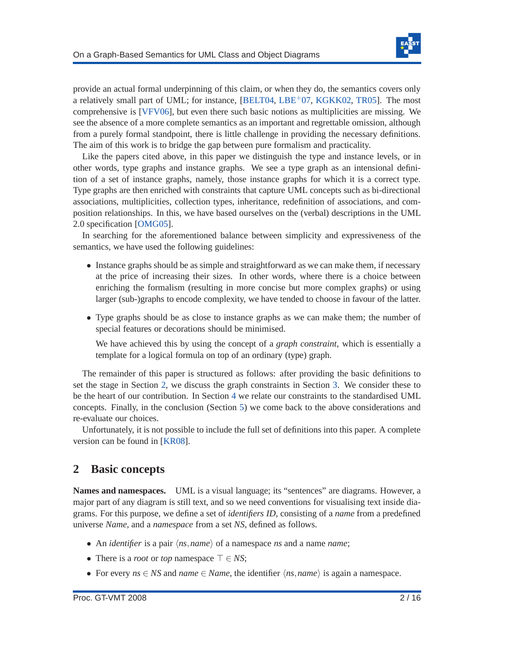

provide an actual formal underpinning of this claim, or when they do, the semantics covers only a relatively small part of UML; for instance,  $[BELTO4, LBE<sup>+</sup>07, KGKK02, TR05]$  $[BELTO4, LBE<sup>+</sup>07, KGKK02, TR05]$  $[BELTO4, LBE<sup>+</sup>07, KGKK02, TR05]$  $[BELTO4, LBE<sup>+</sup>07, KGKK02, TR05]$  $[BELTO4, LBE<sup>+</sup>07, KGKK02, TR05]$  $[BELTO4, LBE<sup>+</sup>07, KGKK02, TR05]$ . The most comprehensive is [\[VFV06\]](#page-16-1), but even there such basic notions as multiplicities are missing. We see the absence of a more complete semantics as an important and regrettable omission, although from a purely formal standpoint, there is little challenge in providing the necessary definitions. The aim of this work is to bridge the gap between pure formalism and practicality.

Like the papers cited above, in this paper we distinguish the type and instance levels, or in other words, type graphs and instance graphs. We see a type graph as an intensional definition of a set of instance graphs, namely, those instance graphs for which it is a correct type. Type graphs are then enriched with constraints that capture UML concepts such as bi-directional associations, multiplicities, collection types, inheritance, redefinition of associations, and composition relationships. In this, we have based ourselves on the (verbal) descriptions in the UML 2.0 specification [\[OMG05\]](#page-16-2).

In searching for the aforementioned balance between simplicity and expressiveness of the semantics, we have used the following guidelines:

- Instance graphs should be as simple and straightforward as we can make them, if necessary at the price of increasing their sizes. In other words, where there is a choice between enriching the formalism (resulting in more concise but more complex graphs) or using larger (sub-)graphs to encode complexity, we have tended to choose in favour of the latter.
- Type graphs should be as close to instance graphs as we can make them; the number of special features or decorations should be minimised.

We have achieved this by using the concept of a *graph constraint*, which is essentially a template for a logical formula on top of an ordinary (type) graph.

The remainder of this paper is structured as follows: after providing the basic definitions to set the stage in Section [2,](#page-2-0) we discuss the graph constraints in Section [3.](#page-7-0) We consider these to be the heart of our contribution. In Section [4](#page-11-0) we relate our constraints to the standardised UML concepts. Finally, in the conclusion (Section [5\)](#page-13-0) we come back to the above considerations and re-evaluate our choices.

Unfortunately, it is not possible to include the full set of definitions into this paper. A complete version can be found in [\[KR08\]](#page-15-3).

### <span id="page-2-0"></span>**2 Basic concepts**

**Names and namespaces.** UML is a visual language; its "sentences" are diagrams. However, a major part of any diagram is still text, and so we need conventions for visualising text inside diagrams. For this purpose, we define a set of *identifiers ID*, consisting of a *name* from a predefined universe *Name*, and a *namespace* from a set *NS*, defined as follows.

- An *identifier* is a pair  $\langle ns, name \rangle$  of a namespace *ns* and a name *name*;
- There is a *root* or *top* namespace ⊤ ∈ *NS*;
- For every  $ns \in NS$  and  $name \in Name$ , the identifier  $\langle ns, name \rangle$  is again a namespace.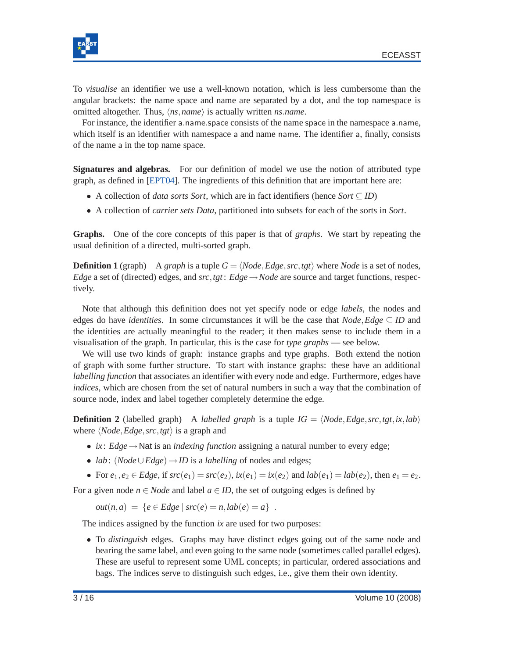

To *visualise* an identifier we use a well-known notation, which is less cumbersome than the angular brackets: the name space and name are separated by a dot, and the top namespace is omitted altogether. Thus,  $\langle ns, name \rangle$  is actually written *ns.name*.

For instance, the identifier a.name.space consists of the name space in the namespace a.name, which itself is an identifier with namespace a and name name. The identifier a, finally, consists of the name a in the top name space.

**Signatures and algebras.** For our definition of model we use the notion of attributed type graph, as defined in [\[EPT04\]](#page-15-4). The ingredients of this definition that are important here are:

- A collection of *data sorts Sort*, which are in fact identifiers (hence *Sort* ⊆ *ID*)
- A collection of *carrier sets Data*, partitioned into subsets for each of the sorts in *Sort*.

**Graphs.** One of the core concepts of this paper is that of *graphs*. We start by repeating the usual definition of a directed, multi-sorted graph.

**Definition 1** (graph) A *graph* is a tuple  $G = \langle Node, Edge, src, tgt \rangle$  where *Node* is a set of nodes, *Edge* a set of (directed) edges, and *src*,*tgt*: *Edge*  $\rightarrow$ *Node* are source and target functions, respectively.

Note that although this definition does not yet specify node or edge *labels*, the nodes and edges do have *identities*. In some circumstances it will be the case that  $Node, Edge \subseteq ID$  and the identities are actually meaningful to the reader; it then makes sense to include them in a visualisation of the graph. In particular, this is the case for *type graphs* — see below.

We will use two kinds of graph: instance graphs and type graphs. Both extend the notion of graph with some further structure. To start with instance graphs: these have an additional *labelling function* that associates an identifier with every node and edge. Furthermore, edges have *indices*, which are chosen from the set of natural numbers in such a way that the combination of source node, index and label together completely determine the edge.

<span id="page-3-0"></span>**Definition 2** (labelled graph) A *labelled graph* is a tuple  $IG = \langle Node, Edge, src, tgt, ix, lab \rangle$ where  $\langle Node, Edge, src, tgt \rangle$  is a graph and

- *ix* : *Edge*→Nat is an *indexing function* assigning a natural number to every edge;
- *lab*: (*Node*∪*Edge*)→*ID* is a *labelling* of nodes and edges;
- For  $e_1, e_2 \in Edge$ , if  $src(e_1) = src(e_2)$ ,  $ix(e_1) = ix(e_2)$  and  $lab(e_1) = lab(e_2)$ , then  $e_1 = e_2$ .

For a given node  $n \in Node$  and label  $a \in ID$ , the set of outgoing edges is defined by

 $out(n, a) = \{e \in Edge \mid src(e) = n, lab(e) = a\}.$ 

The indices assigned by the function *ix* are used for two purposes:

• To *distinguish* edges. Graphs may have distinct edges going out of the same node and bearing the same label, and even going to the same node (sometimes called parallel edges). These are useful to represent some UML concepts; in particular, ordered associations and bags. The indices serve to distinguish such edges, i.e., give them their own identity.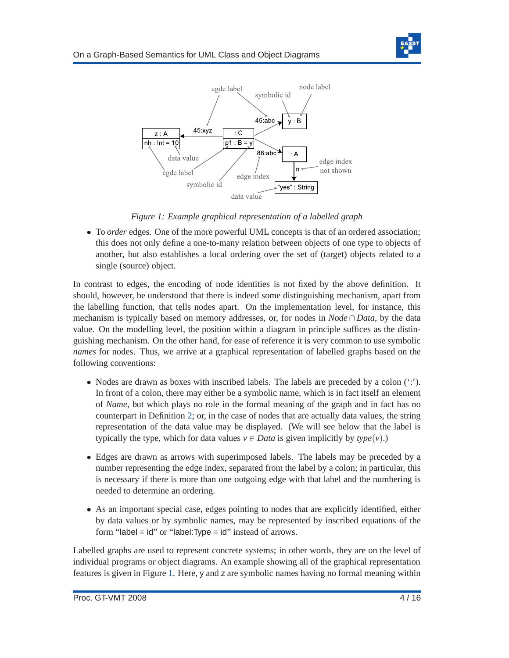

<span id="page-4-0"></span>

*Figure 1: Example graphical representation of a labelled graph*

• To *order* edges. One of the more powerful UML concepts is that of an ordered association; this does not only define a one-to-many relation between objects of one type to objects of another, but also establishes a local ordering over the set of (target) objects related to a single (source) object.

In contrast to edges, the encoding of node identities is not fixed by the above definition. It should, however, be understood that there is indeed some distinguishing mechanism, apart from the labelling function, that tells nodes apart. On the implementation level, for instance, this mechanism is typically based on memory addresses, or, for nodes in *Node* ∩ *Data*, by the data value. On the modelling level, the position within a diagram in principle suffices as the distinguishing mechanism. On the other hand, for ease of reference it is very common to use symbolic *names* for nodes. Thus, we arrive at a graphical representation of labelled graphs based on the following conventions:

- Nodes are drawn as boxes with inscribed labels. The labels are preceded by a colon  $(\cdot;\cdot)$ . In front of a colon, there may either be a symbolic name, which is in fact itself an element of *Name*, but which plays no role in the formal meaning of the graph and in fact has no counterpart in Definition [2;](#page-3-0) or, in the case of nodes that are actually data values, the string representation of the data value may be displayed. (We will see below that the label is typically the type, which for data values  $v \in Data$  is given implicitly by  $type(v)$ .)
- Edges are drawn as arrows with superimposed labels. The labels may be preceded by a number representing the edge index, separated from the label by a colon; in particular, this is necessary if there is more than one outgoing edge with that label and the numbering is needed to determine an ordering.
- As an important special case, edges pointing to nodes that are explicitly identified, either by data values or by symbolic names, may be represented by inscribed equations of the form "label =  $id$ " or "label: Type =  $id$ " instead of arrows.

Labelled graphs are used to represent concrete systems; in other words, they are on the level of individual programs or object diagrams. An example showing all of the graphical representation features is given in Figure [1.](#page-4-0) Here, y and z are symbolic names having no formal meaning within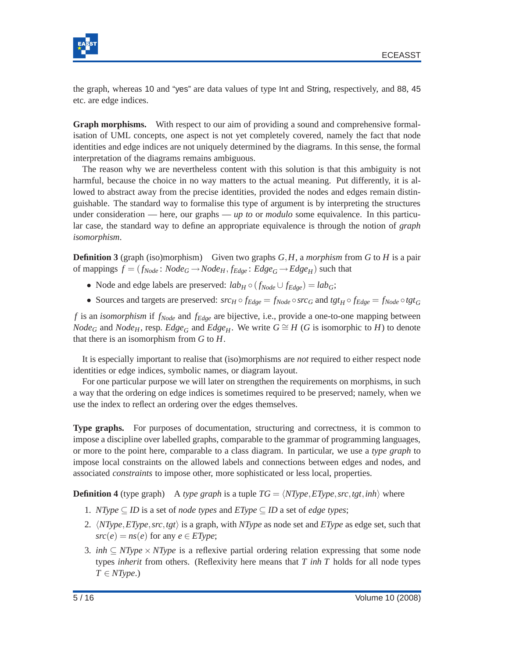

the graph, whereas 10 and "yes" are data values of type Int and String, respectively, and 88, 45 etc. are edge indices.

**Graph morphisms.** With respect to our aim of providing a sound and comprehensive formalisation of UML concepts, one aspect is not yet completely covered, namely the fact that node identities and edge indices are not uniquely determined by the diagrams. In this sense, the formal interpretation of the diagrams remains ambiguous.

The reason why we are nevertheless content with this solution is that this ambiguity is not harmful, because the choice in no way matters to the actual meaning. Put differently, it is allowed to abstract away from the precise identities, provided the nodes and edges remain distinguishable. The standard way to formalise this type of argument is by interpreting the structures under consideration — here, our graphs — *up to* or *modulo* some equivalence. In this particular case, the standard way to define an appropriate equivalence is through the notion of *graph isomorphism*.

**Definition 3** (graph (iso)morphism) Given two graphs *G*,*H*, a *morphism* from *G* to *H* is a pair of mappings  $f = (f_{Node}: Node_G \rightarrow Node_H, f_{Edge}: Edge_G \rightarrow Edge_H)$  such that

- Node and edge labels are preserved:  $lab_H \circ (f_{Node} \cup f_{Edge}) = lab_G$ ;
- Sources and targets are preserved:  $src_H \circ f_{Edge} = f_{Node} \circ src_G$  and  $tgt_H \circ f_{Edge} = f_{Node} \circ tgt_G$

*f* is an *isomorphism* if *fNode* and *fEdge* are bijective, i.e., provide a one-to-one mapping between *Node*<sub>*G*</sub> and *Node*<sub>*H*</sub>, resp. *Edge*<sub>*G*</sub> and *Edge*<sub>*H*</sub>. We write  $G \cong H$  (*G* is isomorphic to *H*) to denote that there is an isomorphism from *G* to *H*.

It is especially important to realise that (iso)morphisms are *not* required to either respect node identities or edge indices, symbolic names, or diagram layout.

For one particular purpose we will later on strengthen the requirements on morphisms, in such a way that the ordering on edge indices is sometimes required to be preserved; namely, when we use the index to reflect an ordering over the edges themselves.

**Type graphs.** For purposes of documentation, structuring and correctness, it is common to impose a discipline over labelled graphs, comparable to the grammar of programming languages, or more to the point here, comparable to a class diagram. In particular, we use a *type graph* to impose local constraints on the allowed labels and connections between edges and nodes, and associated *constraints* to impose other, more sophisticated or less local, properties.

**Definition 4** (type graph) A *type graph* is a tuple  $TG = \langle NType, ET, get, int \rangle$  where

- 1. *NType* ⊆ *ID* is a set of *node types* and  $EType \subseteq ID$  a set of *edge types*;
- 2. h*NType*,*EType*,*src*,*tgt*i is a graph, with *NType* as node set and *EType* as edge set, such that  $src(e) = ns(e)$  for any  $e \in EType$ ;
- 3. *inh*  $\subseteq$  *NType*  $\times$  *NType* is a reflexive partial ordering relation expressing that some node types *inherit* from others. (Reflexivity here means that *T inh T* holds for all node types  $T \in NType$ .)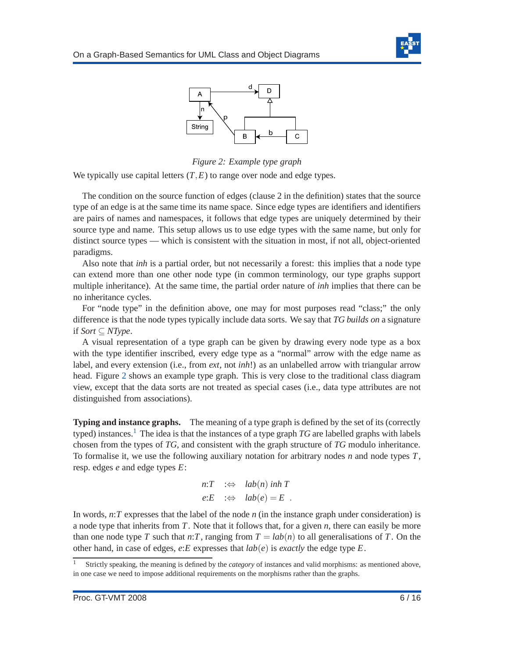



*Figure 2: Example type graph*

<span id="page-6-0"></span>We typically use capital letters  $(T, E)$  to range over node and edge types.

The condition on the source function of edges (clause 2 in the definition) states that the source type of an edge is at the same time its name space. Since edge types are identifiers and identifiers are pairs of names and namespaces, it follows that edge types are uniquely determined by their source type and name. This setup allows us to use edge types with the same name, but only for distinct source types — which is consistent with the situation in most, if not all, object-oriented paradigms.

Also note that *inh* is a partial order, but not necessarily a forest: this implies that a node type can extend more than one other node type (in common terminology, our type graphs support multiple inheritance). At the same time, the partial order nature of *inh* implies that there can be no inheritance cycles.

For "node type" in the definition above, one may for most purposes read "class;" the only difference is that the node types typically include data sorts. We say that *TG builds on* a signature if *Sort* ⊆ *NType*.

A visual representation of a type graph can be given by drawing every node type as a box with the type identifier inscribed, every edge type as a "normal" arrow with the edge name as label, and every extension (i.e., from *ext*, not *inh*!) as an unlabelled arrow with triangular arrow head. Figure [2](#page-6-0) shows an example type graph. This is very close to the traditional class diagram view, except that the data sorts are not treated as special cases (i.e., data type attributes are not distinguished from associations).

**Typing and instance graphs.** The meaning of a type graph is defined by the set of its (correctly typed) instances.<sup>[1](#page-6-1)</sup> The idea is that the instances of a type graph *TG* are labelled graphs with labels chosen from the types of *TG*, and consistent with the graph structure of *TG* modulo inheritance. To formalise it, we use the following auxiliary notation for arbitrary nodes *n* and node types *T*, resp. edges *e* and edge types *E*:

$$
n:T \quad :\Leftrightarrow \quad lab(n) \text{ in } n \in \mathbb{Z} \quad \text{else}
$$
\n
$$
e:E \quad :\Leftrightarrow \quad lab(e) = E \quad .
$$

In words, *n*:*T* expresses that the label of the node *n* (in the instance graph under consideration) is a node type that inherits from *T*. Note that it follows that, for a given *n*, there can easily be more than one node type *T* such that *n*:*T*, ranging from  $T = lab(n)$  to all generalisations of *T*. On the other hand, in case of edges,  $e$ :*E* expresses that  $lab(e)$  is *exactly* the edge type *E*.

<span id="page-6-2"></span><span id="page-6-1"></span><sup>1</sup> Strictly speaking, the meaning is defined by the *category* of instances and valid morphisms: as mentioned above, in one case we need to impose additional requirements on the morphisms rather than the graphs.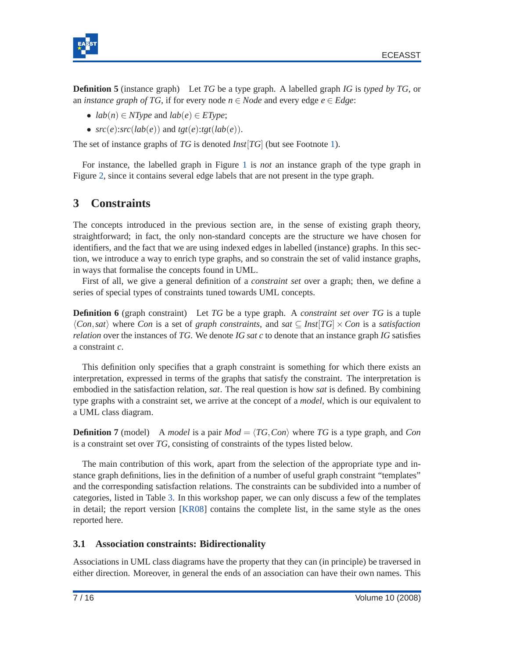



**Definition 5** (instance graph) Let *TG* be a type graph. A labelled graph *IG* is *typed by TG*, or an *instance graph of TG*, if for every node  $n \in Node$  and every edge  $e \in Edge$ :

- $lab(n) \in NType$  and  $lab(e) \in EType$ ;
- $src(e): src(lab(e))$  and  $tgt(e):tgt(lab(e)).$

The set of instance graphs of *TG* is denoted *Inst*[*TG*] (but see Footnote [1\)](#page-6-1).

For instance, the labelled graph in Figure [1](#page-4-0) is *not* an instance graph of the type graph in Figure [2,](#page-6-0) since it contains several edge labels that are not present in the type graph.

### <span id="page-7-0"></span>**3 Constraints**

The concepts introduced in the previous section are, in the sense of existing graph theory, straightforward; in fact, the only non-standard concepts are the structure we have chosen for identifiers, and the fact that we are using indexed edges in labelled (instance) graphs. In this section, we introduce a way to enrich type graphs, and so constrain the set of valid instance graphs, in ways that formalise the concepts found in UML.

First of all, we give a general definition of a *constraint set* over a graph; then, we define a series of special types of constraints tuned towards UML concepts.

**Definition 6** (graph constraint) Let *TG* be a type graph. A *constraint set over TG* is a tuple  $\langle Con, sat \rangle$  where *Con* is a set of *graph constraints*, and *sat*  $\subseteq$  *Inst*[*TG*]  $\times$  *Con* is a *satisfaction relation* over the instances of *TG*. We denote *IG sat c* to denote that an instance graph *IG* satisfies a constraint *c*.

This definition only specifies that a graph constraint is something for which there exists an interpretation, expressed in terms of the graphs that satisfy the constraint. The interpretation is embodied in the satisfaction relation, *sat*. The real question is how *sat* is defined. By combining type graphs with a constraint set, we arrive at the concept of a *model*, which is our equivalent to a UML class diagram.

<span id="page-7-1"></span>**Definition 7** (model) A *model* is a pair  $Mod = \langle TG, Con \rangle$  where *TG* is a type graph, and *Con* is a constraint set over *TG*, consisting of constraints of the types listed below.

The main contribution of this work, apart from the selection of the appropriate type and instance graph definitions, lies in the definition of a number of useful graph constraint "templates" and the corresponding satisfaction relations. The constraints can be subdivided into a number of categories, listed in Table [3.](#page-8-0) In this workshop paper, we can only discuss a few of the templates in detail; the report version [\[KR08\]](#page-15-3) contains the complete list, in the same style as the ones reported here.

#### **3.1 Association constraints: Bidirectionality**

Associations in UML class diagrams have the property that they can (in principle) be traversed in either direction. Moreover, in general the ends of an association can have their own names. This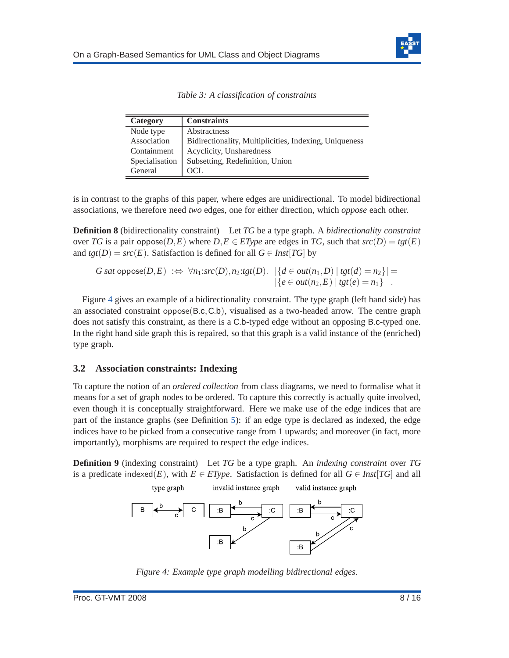

|  |  | Table 3: A classification of constraints |  |  |
|--|--|------------------------------------------|--|--|
|--|--|------------------------------------------|--|--|

<span id="page-8-0"></span>

| Category       | <b>Constraints</b>                                     |
|----------------|--------------------------------------------------------|
| Node type      | Abstractness                                           |
| Association    | Bidirectionality, Multiplicities, Indexing, Uniqueness |
| Containment    | Acyclicity, Unsharedness                               |
| Specialisation | Subsetting, Redefinition, Union                        |
| General        | OCL.                                                   |

is in contrast to the graphs of this paper, where edges are unidirectional. To model bidirectional associations, we therefore need *two* edges, one for either direction, which *oppose* each other.

**Definition 8** (bidirectionality constraint) Let *TG* be a type graph. A *bidirectionality constraint* over *TG* is a pair oppose(*D*,*E*) where *D*,*E*  $\in$  *EType* are edges in *TG*, such that  $src(D) = \text{tgt}(E)$ and  $tgt(D) = src(E)$ . Satisfaction is defined for all  $G \in Inst[TG]$  by

$$
G \text{ sat oppose}(D, E) \implies \forall n_1 \text{ : } src(D), n_2 \text{ : } tsr(D). \quad |\{d \in out(n_1, D) \mid \text{tgt}(d) = n_2\}| =
$$
  
 
$$
|\{e \in out(n_2, E) \mid \text{tgt}(e) = n_1\}|.
$$

Figure [4](#page-8-1) gives an example of a bidirectionality constraint. The type graph (left hand side) has an associated constraint oppose(B.c,C.b), visualised as a two-headed arrow. The centre graph does not satisfy this constraint, as there is a C.b-typed edge without an opposing B.c-typed one. In the right hand side graph this is repaired, so that this graph is a valid instance of the (enriched) type graph.

#### **3.2 Association constraints: Indexing**

type graph

To capture the notion of an *ordered collection* from class diagrams, we need to formalise what it means for a set of graph nodes to be ordered. To capture this correctly is actually quite involved, even though it is conceptually straightforward. Here we make use of the edge indices that are part of the instance graphs (see Definition [5\)](#page-6-2): if an edge type is declared as indexed, the edge indices have to be picked from a consecutive range from 1 upwards; and moreover (in fact, more importantly), morphisms are required to respect the edge indices.

<span id="page-8-1"></span>**Definition 9** (indexing constraint) Let *TG* be a type graph. An *indexing constraint* over *TG* is a predicate indexed(*E*), with  $E \in EType$ . Satisfaction is defined for all  $G \in Inst[TG]$  and all

invalid instance graph

valid instance graph



*Figure 4: Example type graph modelling bidirectional edges.*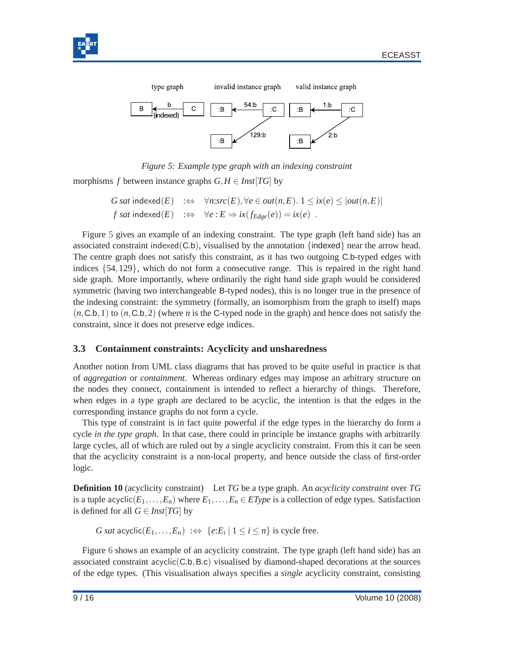<span id="page-9-0"></span>



*Figure 5: Example type graph with an indexing constraint*

morphisms *f* between instance graphs  $G, H \in \text{Inst}[TG]$  by

*G sat* indexed(*E*) :⇔  $\forall n:src(E), \forall e \in out(n, E)$ . 1 ≤ *ix*(*e*) ≤ |*out*(*n*,*E*)|  $f$  *sat* indexed(*E*) : $\Leftrightarrow \forall e : E \Rightarrow ix(f_{Edge}(e)) = ix(e)$ .

Figure [5](#page-9-0) gives an example of an indexing constraint. The type graph (left hand side) has an associated constraint indexed( $(C.b)$ , visualised by the annotation {indexed} near the arrow head. The centre graph does not satisfy this constraint, as it has two outgoing C.b-typed edges with indices {54,129}, which do not form a consecutive range. This is repaired in the right hand side graph. More importantly, where ordinarily the right hand side graph would be considered symmetric (having two interchangeable B-typed nodes), this is no longer true in the presence of the indexing constraint: the symmetry (formally, an isomorphism from the graph to itself) maps  $(n, C.b, 1)$  to  $(n, C.b, 2)$  (where *n* is the C-typed node in the graph) and hence does not satisfy the constraint, since it does not preserve edge indices.

#### **3.3 Containment constraints: Acyclicity and unsharedness**

Another notion from UML class diagrams that has proved to be quite useful in practice is that of *aggregation* or *containment*. Whereas ordinary edges may impose an arbitrary structure on the nodes they connect, containment is intended to reflect a hierarchy of things. Therefore, when edges in a type graph are declared to be acyclic, the intention is that the edges in the corresponding instance graphs do not form a cycle.

This type of constraint is in fact quite powerful if the edge types in the hierarchy do form a cycle *in the type graph*. In that case, there could in principle be instance graphs with arbitrarily large cycles, all of which are ruled out by a single acyclicity constraint. From this it can be seen that the acyclicity constraint is a non-local property, and hence outside the class of first-order logic.

**Definition 10** (acyclicity constraint) Let *TG* be a type graph. An *acyclicity constraint* over *TG* is a tuple acyclic( $E_1, \ldots, E_n$ ) where  $E_1, \ldots, E_n \in EType$  is a collection of edge types. Satisfaction is defined for all  $G \in \text{Inst}[TG]$  by

*G sat* acyclic( $E_1, ..., E_n$ ) :⇔ {*e*: $E_i | 1 ≤ i ≤ n$ } is cycle free.

Figure [6](#page-10-0) shows an example of an acyclicity constraint. The type graph (left hand side) has an associated constraint  $a$ cyclic $(C.b, B.c)$  visualised by diamond-shaped decorations at the sources of the edge types. (This visualisation always specifies a *single* acyclicity constraint, consisting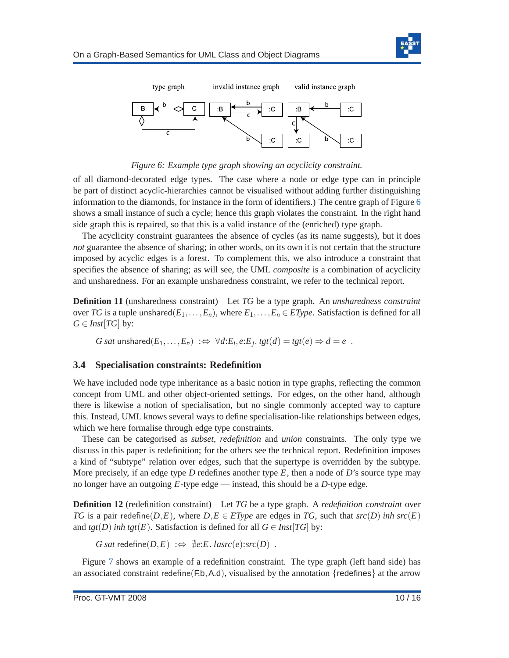

<span id="page-10-0"></span>

*Figure 6: Example type graph showing an acyclicity constraint.*

of all diamond-decorated edge types. The case where a node or edge type can in principle be part of distinct acyclic-hierarchies cannot be visualised without adding further distinguishing information to the diamonds, for instance in the form of identifiers.) The centre graph of Figure [6](#page-10-0) shows a small instance of such a cycle; hence this graph violates the constraint. In the right hand side graph this is repaired, so that this is a valid instance of the (enriched) type graph.

The acyclicity constraint guarantees the absence of cycles (as its name suggests), but it does *not* guarantee the absence of sharing; in other words, on its own it is not certain that the structure imposed by acyclic edges is a forest. To complement this, we also introduce a constraint that specifies the absence of sharing; as will see, the UML *composite* is a combination of acyclicity and unsharedness. For an example unsharedness constraint, we refer to the technical report.

**Definition 11** (unsharedness constraint) Let *TG* be a type graph. An *unsharedness constraint* over *TG* is a tuple unshared $(E_1, \ldots, E_n)$ , where  $E_1, \ldots, E_n \in EType$ . Satisfaction is defined for all  $G \in \text{Inst}[TG]$  by:

 $G$  sat unshared $(E_1,\ldots,E_n) \; : \Leftrightarrow \; \forall d{:}E_i,e{:}E_j.\; tgt(d) = tgt(e) \Rightarrow d = e$  .

#### **3.4 Specialisation constraints: Redefinition**

We have included node type inheritance as a basic notion in type graphs, reflecting the common concept from UML and other object-oriented settings. For edges, on the other hand, although there is likewise a notion of specialisation, but no single commonly accepted way to capture this. Instead, UML knows several ways to define specialisation-like relationships between edges, which we here formalise through edge type constraints.

These can be categorised as *subset*, *redefinition* and *union* constraints. The only type we discuss in this paper is redefinition; for the others see the technical report. Redefinition imposes a kind of "subtype" relation over edges, such that the supertype is overridden by the subtype. More precisely, if an edge type *D* redefines another type *E*, then a node of *D*'s source type may no longer have an outgoing *E*-type edge — instead, this should be a *D*-type edge.

**Definition 12** (redefinition constraint) Let *TG* be a type graph. A *redefinition constraint* over *TG* is a pair redefine(*D*,*E*), where  $D$ ,*E*  $\in$  *EType* are edges in *TG*, such that  $src(D)$  *inh*  $src(E)$ and *tgt*(*D*) *inh tgt*(*E*). Satisfaction is defined for all  $G \in \text{Inst}[TG]$  by:

*G sat* redefine( $D, E$ ) : $\Leftrightarrow \text{#e: } E$ . *lasrc*(*e*):*src*(*D*) .

Figure [7](#page-11-1) shows an example of a redefinition constraint. The type graph (left hand side) has an associated constraint redefine(F.b, A.d), visualised by the annotation  ${redefines}$  at the arrow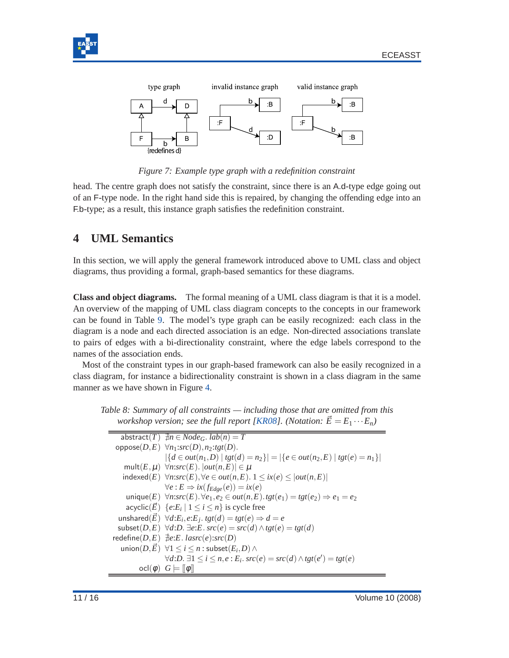<span id="page-11-1"></span>



*Figure 7: Example type graph with a redefinition constraint*

head. The centre graph does not satisfy the constraint, since there is an A.d-type edge going out of an F-type node. In the right hand side this is repaired, by changing the offending edge into an F.b-type; as a result, this instance graph satisfies the redefinition constraint.

# <span id="page-11-0"></span>**4 UML Semantics**

In this section, we will apply the general framework introduced above to UML class and object diagrams, thus providing a formal, graph-based semantics for these diagrams.

**Class and object diagrams.** The formal meaning of a UML class diagram is that it is a model. An overview of the mapping of UML class diagram concepts to the concepts in our framework can be found in Table [9.](#page-12-0) The model's type graph can be easily recognized: each class in the diagram is a node and each directed association is an edge. Non-directed associations translate to pairs of edges with a bi-directionality constraint, where the edge labels correspond to the names of the association ends.

Most of the constraint types in our graph-based framework can also be easily recognized in a class diagram, for instance a bidirectionality constraint is shown in a class diagram in the same manner as we have shown in Figure [4.](#page-8-1)

*Table 8: Summary of all constraints — including those that are omitted from this workshop version; see the full report [\[KR08\]](#page-15-3). (Notation:*  $\vec{E} = E_1 \cdots E_n$ )

 $a$ bstract(*T*)  $\exists n \in Node_G$ .  $lab(n) = T$  $oppose(D, E) \forall n_1: src(D), n_2: tgt(D).$  $|\{d \in out(n_1, D) \mid \text{tgt}(d) = n_2\}| = |\{e \in out(n_2, E) \mid \text{tgt}(e) = n_1\}|$  $mult(E, \mu) \forall n: src(E). |out(n, E)| \in \mu$  $indexed(E)$  ∀*n:src*(*E*), ∀*e* ∈ *out*(*n*,*E*). 1 ≤ *ix*(*e*) ≤ |*out*(*n*,*E*)|  $\forall e : E \Rightarrow ix(f_{Edge}(e)) = ix(e)$ unique(*E*) ∀*n*:*src*(*E*).∀*e*1,*e*<sup>2</sup> ∈ *out*(*n*,*E*).*tgt*(*e*1) = *tgt*(*e*2) ⇒ *e*<sup>1</sup> = *e*<sup>2</sup> acyclic $(\vec{E})$   $\{e\mathpunct{:}E_i \mid 1 \leq i \leq n\}$  is cycle free  $\forall d$ : $E_i, e$ : $E_j$ .  $tgt(d) = tgt(e) \Rightarrow d = e$ subset(*D*,*E*) ∀*d*:*D*. ∃*e*:*E*. *src*(*e*) = *src*(*d*)∧*tgt*(*e*) = *tgt*(*d*)  $\text{redefine}(D, E) \neq e: E \cdot \text{laser}(e): src(D)$  $\nu$ **union**(*D*, $\vec{E}$ ) ∀1 ≤ *i* ≤ *n* : subset(*E*<sub>*i*</sub>,*D*) ∧  $∀d:D. \exists 1 \leq i \leq n, e : E_i. \, src(e) = src(d) \land \t{tgt(e')} = \t{tgt(e)}$  $\text{ocl}(\phi)$   $G \models ||\phi||$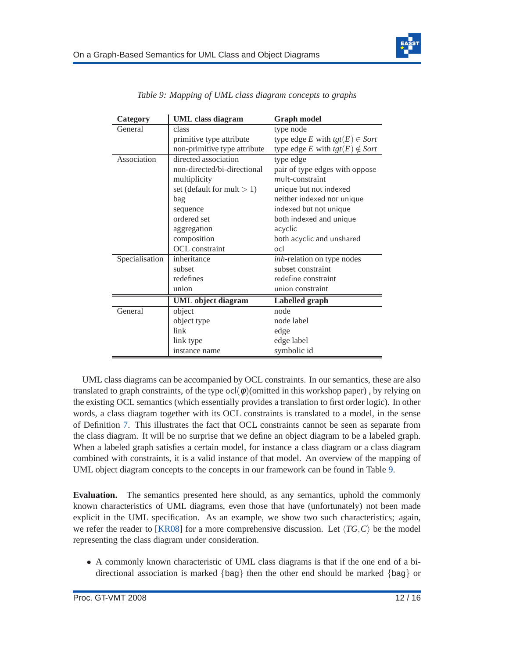

<span id="page-12-0"></span>

| Category       | <b>UML</b> class diagram      | <b>Graph model</b>                    |  |
|----------------|-------------------------------|---------------------------------------|--|
| General        | class                         | type node                             |  |
|                | primitive type attribute      | type edge E with $tgt(E) \in Sort$    |  |
|                | non-primitive type attribute  | type edge E with $tgt(E) \notin Sort$ |  |
| Association    | directed association          | type edge                             |  |
|                | non-directed/bi-directional   | pair of type edges with oppose        |  |
|                | multiplicity                  | mult-constraint                       |  |
|                | set (default for mult $> 1$ ) | unique but not indexed                |  |
|                | bag                           | neither indexed nor unique            |  |
|                | sequence                      | indexed but not unique                |  |
|                | ordered set                   | both indexed and unique               |  |
|                | aggregation                   | acyclic                               |  |
|                | composition                   | both acyclic and unshared             |  |
|                | OCL constraint                | ocl                                   |  |
| Specialisation | inheritance                   | <i>inh</i> -relation on type nodes    |  |
|                | subset                        | subset constraint                     |  |
|                | redefines                     | redefine constraint                   |  |
|                | union                         | union constraint                      |  |
|                | <b>UML</b> object diagram     | Labelled graph                        |  |
| General        | object                        | node                                  |  |
|                | object type                   | node label                            |  |
|                | link                          | edge                                  |  |
|                | link type                     | edge label                            |  |
|                | instance name                 | symbolic id                           |  |

*Table 9: Mapping of UML class diagram concepts to graphs*

UML class diagrams can be accompanied by OCL constraints. In our semantics, these are also translated to graph constraints, of the type  $ocl(\phi)$  (omitted in this workshop paper), by relying on the existing OCL semantics (which essentially provides a translation to first order logic). In other words, a class diagram together with its OCL constraints is translated to a model, in the sense of Definition [7.](#page-7-1) This illustrates the fact that OCL constraints cannot be seen as separate from the class diagram. It will be no surprise that we define an object diagram to be a labeled graph. When a labeled graph satisfies a certain model, for instance a class diagram or a class diagram combined with constraints, it is a valid instance of that model. An overview of the mapping of UML object diagram concepts to the concepts in our framework can be found in Table [9.](#page-12-0)

**Evaluation.** The semantics presented here should, as any semantics, uphold the commonly known characteristics of UML diagrams, even those that have (unfortunately) not been made explicit in the UML specification. As an example, we show two such characteristics; again, we refer the reader to [\[KR08\]](#page-15-3) for a more comprehensive discussion. Let  $\langle TG,C \rangle$  be the model representing the class diagram under consideration.

• A commonly known characteristic of UML class diagrams is that if the one end of a bidirectional association is marked {bag} then the other end should be marked {bag} or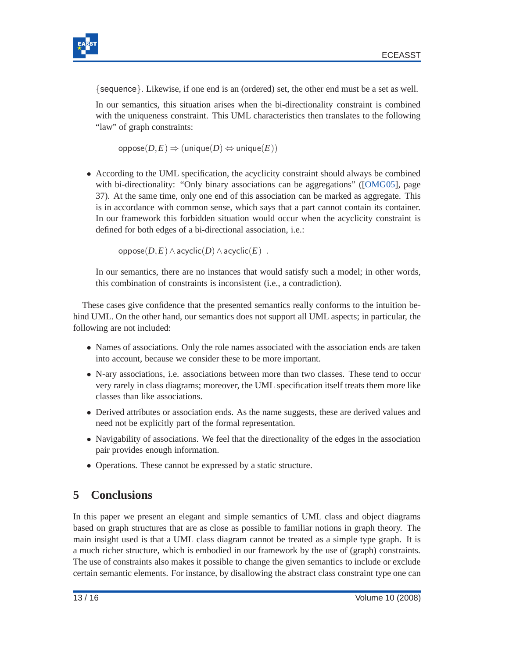

{sequence}. Likewise, if one end is an (ordered) set, the other end must be a set as well.

In our semantics, this situation arises when the bi-directionality constraint is combined with the uniqueness constraint. This UML characteristics then translates to the following "law" of graph constraints:

 $oppose(D, E) \Rightarrow (unique(D) \Leftrightarrow unique(E))$ 

• According to the UML specification, the acyclicity constraint should always be combined with bi-directionality: "Only binary associations can be aggregations" ([\[OMG05\]](#page-16-2), page 37). At the same time, only one end of this association can be marked as aggregate. This is in accordance with common sense, which says that a part cannot contain its container. In our framework this forbidden situation would occur when the acyclicity constraint is defined for both edges of a bi-directional association, i.e.:

oppose(*D*,*E*)∧acyclic(*D*)∧acyclic(*E*) .

In our semantics, there are no instances that would satisfy such a model; in other words, this combination of constraints is inconsistent (i.e., a contradiction).

These cases give confidence that the presented semantics really conforms to the intuition behind UML. On the other hand, our semantics does not support all UML aspects; in particular, the following are not included:

- Names of associations. Only the role names associated with the association ends are taken into account, because we consider these to be more important.
- N-ary associations, i.e. associations between more than two classes. These tend to occur very rarely in class diagrams; moreover, the UML specification itself treats them more like classes than like associations.
- Derived attributes or association ends. As the name suggests, these are derived values and need not be explicitly part of the formal representation.
- Navigability of associations. We feel that the directionality of the edges in the association pair provides enough information.
- Operations. These cannot be expressed by a static structure.

# <span id="page-13-0"></span>**5 Conclusions**

In this paper we present an elegant and simple semantics of UML class and object diagrams based on graph structures that are as close as possible to familiar notions in graph theory. The main insight used is that a UML class diagram cannot be treated as a simple type graph. It is a much richer structure, which is embodied in our framework by the use of (graph) constraints. The use of constraints also makes it possible to change the given semantics to include or exclude certain semantic elements. For instance, by disallowing the abstract class constraint type one can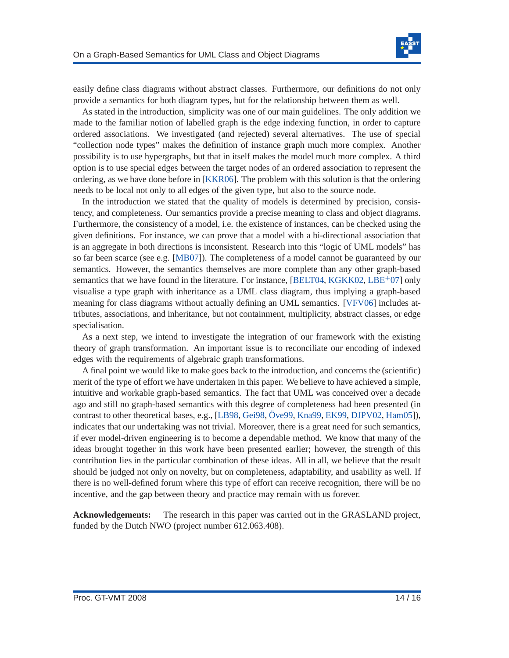

easily define class diagrams without abstract classes. Furthermore, our definitions do not only provide a semantics for both diagram types, but for the relationship between them as well.

As stated in the introduction, simplicity was one of our main guidelines. The only addition we made to the familiar notion of labelled graph is the edge indexing function, in order to capture ordered associations. We investigated (and rejected) several alternatives. The use of special "collection node types" makes the definition of instance graph much more complex. Another possibility is to use hypergraphs, but that in itself makes the model much more complex. A third option is to use special edges between the target nodes of an ordered association to represent the ordering, as we have done before in [\[KKR06\]](#page-15-5). The problem with this solution is that the ordering needs to be local not only to all edges of the given type, but also to the source node.

In the introduction we stated that the quality of models is determined by precision, consistency, and completeness. Our semantics provide a precise meaning to class and object diagrams. Furthermore, the consistency of a model, i.e. the existence of instances, can be checked using the given definitions. For instance, we can prove that a model with a bi-directional association that is an aggregate in both directions is inconsistent. Research into this "logic of UML models" has so far been scarce (see e.g. [\[MB07\]](#page-15-6)). The completeness of a model cannot be guaranteed by our semantics. However, the semantics themselves are more complete than any other graph-based semantics that we have found in the literature. For instance,  $[BELT04, KGKK02, LBE<sup>+</sup>07]$  $[BELT04, KGKK02, LBE<sup>+</sup>07]$  $[BELT04, KGKK02, LBE<sup>+</sup>07]$  $[BELT04, KGKK02, LBE<sup>+</sup>07]$  $[BELT04, KGKK02, LBE<sup>+</sup>07]$  $[BELT04, KGKK02, LBE<sup>+</sup>07]$  only visualise a type graph with inheritance as a UML class diagram, thus implying a graph-based meaning for class diagrams without actually defining an UML semantics. [\[VFV06\]](#page-16-1) includes attributes, associations, and inheritance, but not containment, multiplicity, abstract classes, or edge specialisation.

As a next step, we intend to investigate the integration of our framework with the existing theory of graph transformation. An important issue is to reconciliate our encoding of indexed edges with the requirements of algebraic graph transformations.

A final point we would like to make goes back to the introduction, and concerns the (scientific) merit of the type of effort we have undertaken in this paper. We believe to have achieved a simple, intuitive and workable graph-based semantics. The fact that UML was conceived over a decade ago and still no graph-based semantics with this degree of completeness had been presented (in contrast to other theoretical bases, e.g., [\[LB98,](#page-15-7) [Gei98,](#page-15-8) Öve99, [Kna99,](#page-15-9) [EK99,](#page-15-10) [DJPV02,](#page-15-11) [Ham05\]](#page-15-12)), indicates that our undertaking was not trivial. Moreover, there is a great need for such semantics, if ever model-driven engineering is to become a dependable method. We know that many of the ideas brought together in this work have been presented earlier; however, the strength of this contribution lies in the particular combination of these ideas. All in all, we believe that the result should be judged not only on novelty, but on completeness, adaptability, and usability as well. If there is no well-defined forum where this type of effort can receive recognition, there will be no incentive, and the gap between theory and practice may remain with us forever.

**Acknowledgements:** The research in this paper was carried out in the GRASLAND project, funded by the Dutch NWO (project number 612.063.408).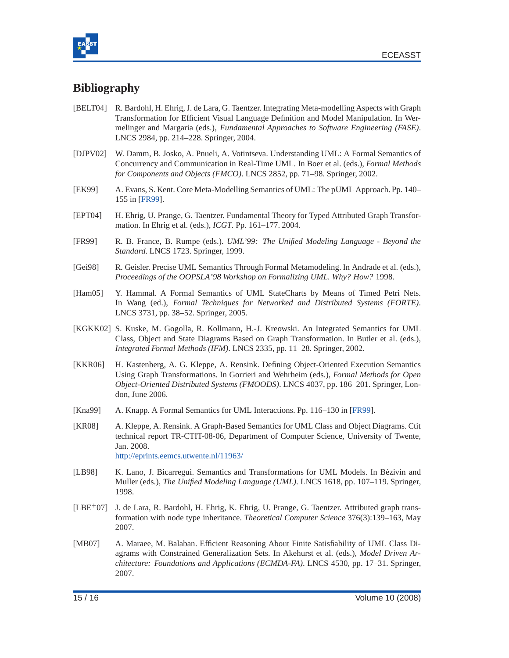



# <span id="page-15-0"></span>**Bibliography**

- [BELT04] R. Bardohl, H. Ehrig, J. de Lara, G. Taentzer. Integrating Meta-modelling Aspects with Graph Transformation for Efficient Visual Language Definition and Model Manipulation. In Wermelinger and Margaria (eds.), *Fundamental Approaches to Software Engineering (FASE)*. LNCS 2984, pp. 214–228. Springer, 2004.
- <span id="page-15-11"></span>[DJPV02] W. Damm, B. Josko, A. Pnueli, A. Votintseva. Understanding UML: A Formal Semantics of Concurrency and Communication in Real-Time UML. In Boer et al. (eds.), *Formal Methods for Components and Objects (FMCO)*. LNCS 2852, pp. 71–98. Springer, 2002.
- <span id="page-15-10"></span>[EK99] A. Evans, S. Kent. Core Meta-Modelling Semantics of UML: The pUML Approach. Pp. 140– 155 in [\[FR99\]](#page-15-13).
- <span id="page-15-4"></span>[EPT04] H. Ehrig, U. Prange, G. Taentzer. Fundamental Theory for Typed Attributed Graph Transformation. In Ehrig et al. (eds.), *ICGT*. Pp. 161–177. 2004.
- <span id="page-15-13"></span>[FR99] R. B. France, B. Rumpe (eds.). *UML'99: The Unified Modeling Language - Beyond the Standard*. LNCS 1723. Springer, 1999.
- <span id="page-15-8"></span>[Gei98] R. Geisler. Precise UML Semantics Through Formal Metamodeling. In Andrade et al. (eds.), *Proceedings of the OOPSLA'98 Workshop on Formalizing UML. Why? How?* 1998.
- <span id="page-15-12"></span>[Ham05] Y. Hammal. A Formal Semantics of UML StateCharts by Means of Timed Petri Nets. In Wang (ed.), *Formal Techniques for Networked and Distributed Systems (FORTE)*. LNCS 3731, pp. 38–52. Springer, 2005.
- <span id="page-15-2"></span>[KGKK02] S. Kuske, M. Gogolla, R. Kollmann, H.-J. Kreowski. An Integrated Semantics for UML Class, Object and State Diagrams Based on Graph Transformation. In Butler et al. (eds.), *Integrated Formal Methods (IFM)*. LNCS 2335, pp. 11–28. Springer, 2002.
- <span id="page-15-5"></span>[KKR06] H. Kastenberg, A. G. Kleppe, A. Rensink. Defining Object-Oriented Execution Semantics Using Graph Transformations. In Gorrieri and Wehrheim (eds.), *Formal Methods for Open Object-Oriented Distributed Systems (FMOODS)*. LNCS 4037, pp. 186–201. Springer, London, June 2006.
- <span id="page-15-9"></span><span id="page-15-3"></span>[Kna99] A. Knapp. A Formal Semantics for UML Interactions. Pp. 116–130 in [\[FR99\]](#page-15-13).
- [KR08] A. Kleppe, A. Rensink. A Graph-Based Semantics for UML Class and Object Diagrams. Ctit technical report TR-CTIT-08-06, Department of Computer Science, University of Twente, Jan. 2008. <http://eprints.eemcs.utwente.nl/11963/>
- <span id="page-15-7"></span>[LB98] K. Lano, J. Bicarregui. Semantics and Transformations for UML Models. In Bézivin and Muller (eds.), *The Unified Modeling Language (UML)*. LNCS 1618, pp. 107–119. Springer, 1998.
- <span id="page-15-1"></span>[LBE+07] J. de Lara, R. Bardohl, H. Ehrig, K. Ehrig, U. Prange, G. Taentzer. Attributed graph transformation with node type inheritance. *Theoretical Computer Science* 376(3):139–163, May 2007.
- <span id="page-15-6"></span>[MB07] A. Maraee, M. Balaban. Efficient Reasoning About Finite Satisfiability of UML Class Diagrams with Constrained Generalization Sets. In Akehurst et al. (eds.), *Model Driven Architecture: Foundations and Applications (ECMDA-FA)*. LNCS 4530, pp. 17–31. Springer, 2007.